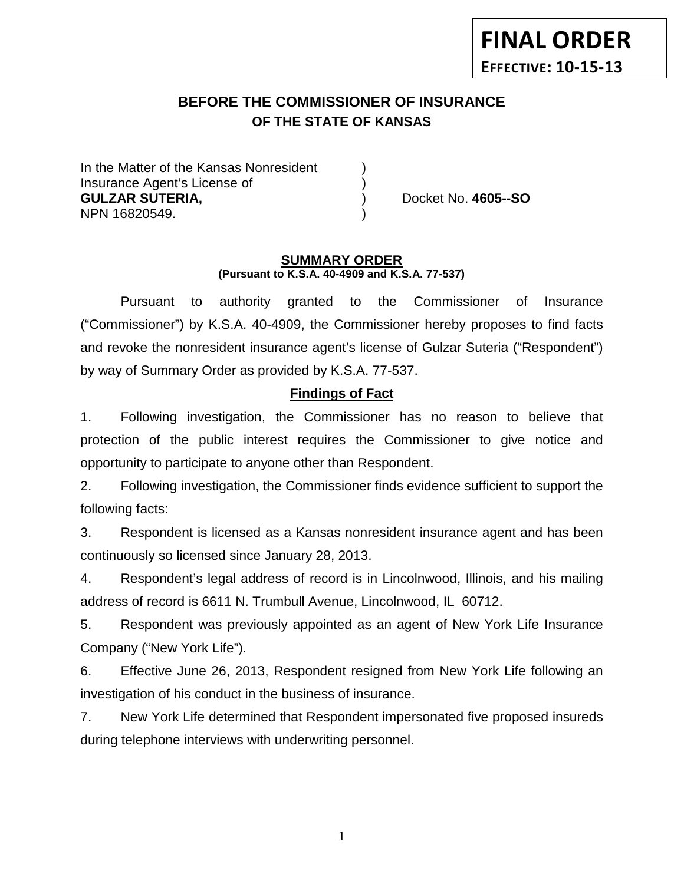# **BEFORE THE COMMISSIONER OF INSURANCE OF THE STATE OF KANSAS**

In the Matter of the Kansas Nonresident Insurance Agent's License of ) **GULZAR SUTERIA,** ) Docket No. **4605--SO** NPN 16820549.

#### **SUMMARY ORDER (Pursuant to K.S.A. 40-4909 and K.S.A. 77-537)**

Pursuant to authority granted to the Commissioner of Insurance ("Commissioner") by K.S.A. 40-4909, the Commissioner hereby proposes to find facts and revoke the nonresident insurance agent's license of Gulzar Suteria ("Respondent") by way of Summary Order as provided by K.S.A. 77-537.

### **Findings of Fact**

1. Following investigation, the Commissioner has no reason to believe that protection of the public interest requires the Commissioner to give notice and opportunity to participate to anyone other than Respondent.

2. Following investigation, the Commissioner finds evidence sufficient to support the following facts:

3. Respondent is licensed as a Kansas nonresident insurance agent and has been continuously so licensed since January 28, 2013.

4. Respondent's legal address of record is in Lincolnwood, Illinois, and his mailing address of record is 6611 N. Trumbull Avenue, Lincolnwood, IL 60712.

5. Respondent was previously appointed as an agent of New York Life Insurance Company ("New York Life").

6. Effective June 26, 2013, Respondent resigned from New York Life following an investigation of his conduct in the business of insurance.

7. New York Life determined that Respondent impersonated five proposed insureds during telephone interviews with underwriting personnel.

1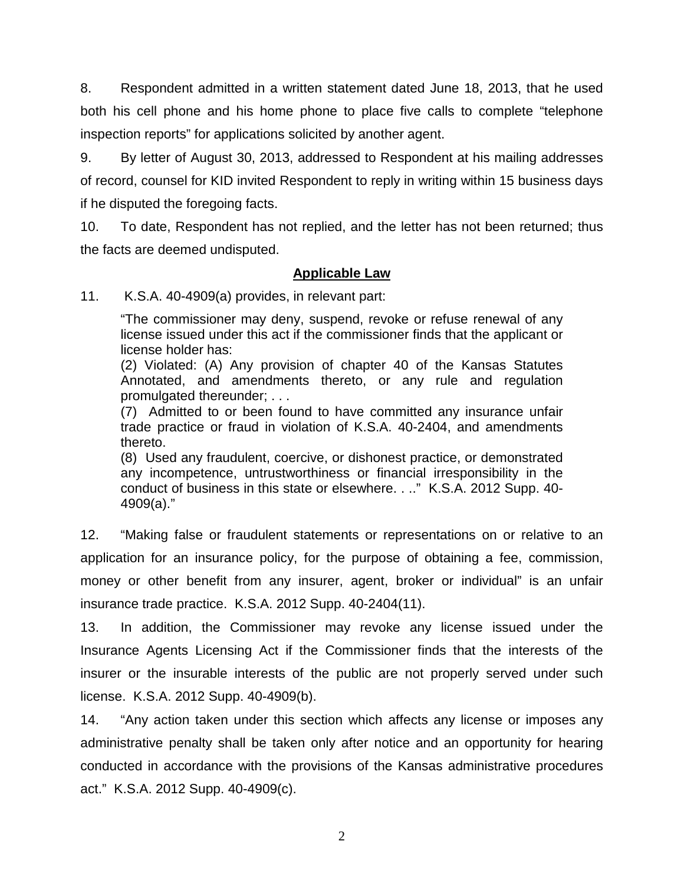8. Respondent admitted in a written statement dated June 18, 2013, that he used both his cell phone and his home phone to place five calls to complete "telephone inspection reports" for applications solicited by another agent.

9. By letter of August 30, 2013, addressed to Respondent at his mailing addresses of record, counsel for KID invited Respondent to reply in writing within 15 business days if he disputed the foregoing facts.

10. To date, Respondent has not replied, and the letter has not been returned; thus the facts are deemed undisputed.

### **Applicable Law**

11. K.S.A. 40-4909(a) provides, in relevant part:

"The commissioner may deny, suspend, revoke or refuse renewal of any license issued under this act if the commissioner finds that the applicant or license holder has:

(2) Violated: (A) Any provision of chapter 40 of the Kansas Statutes Annotated, and amendments thereto, or any rule and regulation promulgated thereunder; . . .

(7) Admitted to or been found to have committed any insurance unfair trade practice or fraud in violation of K.S.A. 40-2404, and amendments thereto.

(8) Used any fraudulent, coercive, or dishonest practice, or demonstrated any incompetence, untrustworthiness or financial irresponsibility in the conduct of business in this state or elsewhere. . .." K.S.A. 2012 Supp. 40- 4909(a)."

12. "Making false or fraudulent statements or representations on or relative to an application for an insurance policy, for the purpose of obtaining a fee, commission, money or other benefit from any insurer, agent, broker or individual" is an unfair insurance trade practice. K.S.A. 2012 Supp. 40-2404(11).

13. In addition, the Commissioner may revoke any license issued under the Insurance Agents Licensing Act if the Commissioner finds that the interests of the insurer or the insurable interests of the public are not properly served under such license. K.S.A. 2012 Supp. 40-4909(b).

14. "Any action taken under this section which affects any license or imposes any administrative penalty shall be taken only after notice and an opportunity for hearing conducted in accordance with the provisions of the Kansas administrative procedures act." K.S.A. 2012 Supp. 40-4909(c).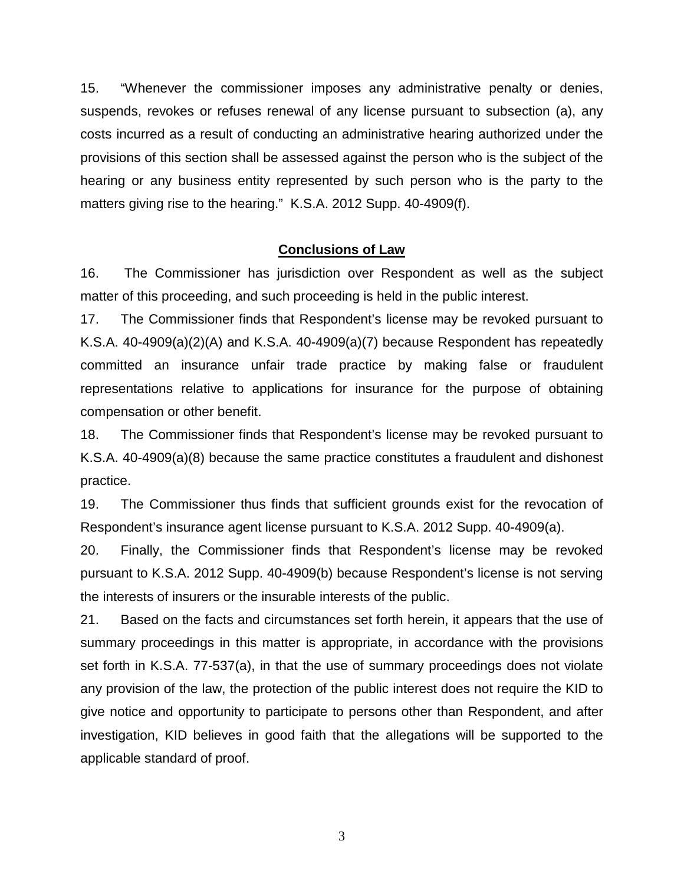15. "Whenever the commissioner imposes any administrative penalty or denies, suspends, revokes or refuses renewal of any license pursuant to subsection (a), any costs incurred as a result of conducting an administrative hearing authorized under the provisions of this section shall be assessed against the person who is the subject of the hearing or any business entity represented by such person who is the party to the matters giving rise to the hearing." K.S.A. 2012 Supp. 40-4909(f).

#### **Conclusions of Law**

16. The Commissioner has jurisdiction over Respondent as well as the subject matter of this proceeding, and such proceeding is held in the public interest.

17. The Commissioner finds that Respondent's license may be revoked pursuant to K.S.A. 40-4909(a)(2)(A) and K.S.A. 40-4909(a)(7) because Respondent has repeatedly committed an insurance unfair trade practice by making false or fraudulent representations relative to applications for insurance for the purpose of obtaining compensation or other benefit.

18. The Commissioner finds that Respondent's license may be revoked pursuant to K.S.A. 40-4909(a)(8) because the same practice constitutes a fraudulent and dishonest practice.

19. The Commissioner thus finds that sufficient grounds exist for the revocation of Respondent's insurance agent license pursuant to K.S.A. 2012 Supp. 40-4909(a).

20. Finally, the Commissioner finds that Respondent's license may be revoked pursuant to K.S.A. 2012 Supp. 40-4909(b) because Respondent's license is not serving the interests of insurers or the insurable interests of the public.

21. Based on the facts and circumstances set forth herein, it appears that the use of summary proceedings in this matter is appropriate, in accordance with the provisions set forth in K.S.A. 77-537(a), in that the use of summary proceedings does not violate any provision of the law, the protection of the public interest does not require the KID to give notice and opportunity to participate to persons other than Respondent, and after investigation, KID believes in good faith that the allegations will be supported to the applicable standard of proof.

3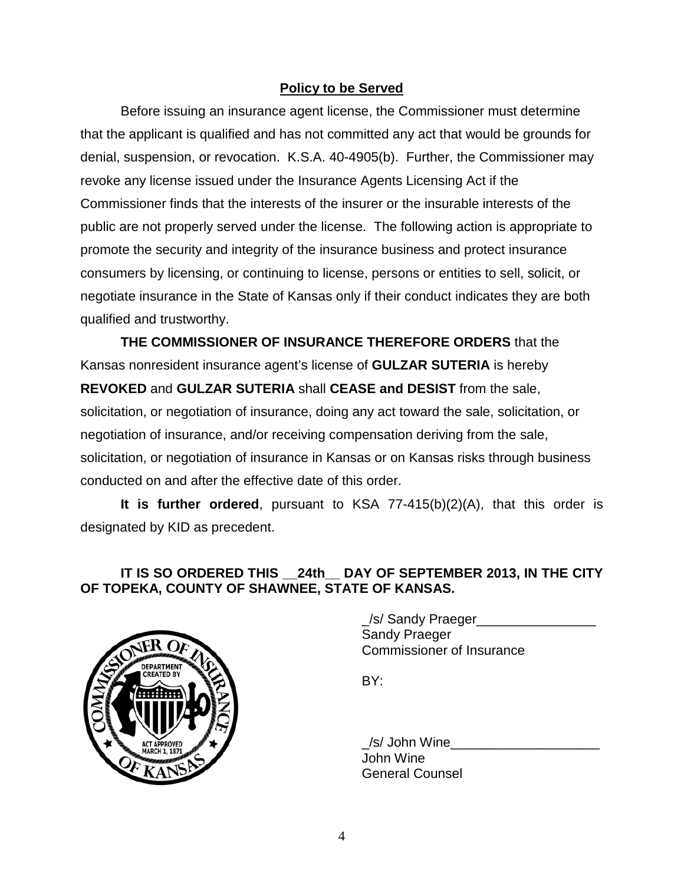### **Policy to be Served**

Before issuing an insurance agent license, the Commissioner must determine that the applicant is qualified and has not committed any act that would be grounds for denial, suspension, or revocation. K.S.A. 40-4905(b). Further, the Commissioner may revoke any license issued under the Insurance Agents Licensing Act if the Commissioner finds that the interests of the insurer or the insurable interests of the public are not properly served under the license. The following action is appropriate to promote the security and integrity of the insurance business and protect insurance consumers by licensing, or continuing to license, persons or entities to sell, solicit, or negotiate insurance in the State of Kansas only if their conduct indicates they are both qualified and trustworthy.

**THE COMMISSIONER OF INSURANCE THEREFORE ORDERS** that the Kansas nonresident insurance agent's license of **GULZAR SUTERIA** is hereby **REVOKED** and **GULZAR SUTERIA** shall **CEASE and DESIST** from the sale, solicitation, or negotiation of insurance, doing any act toward the sale, solicitation, or negotiation of insurance, and/or receiving compensation deriving from the sale, solicitation, or negotiation of insurance in Kansas or on Kansas risks through business conducted on and after the effective date of this order.

**It is further ordered**, pursuant to KSA 77-415(b)(2)(A), that this order is designated by KID as precedent.

## **IT IS SO ORDERED THIS \_\_24th\_\_ DAY OF SEPTEMBER 2013, IN THE CITY OF TOPEKA, COUNTY OF SHAWNEE, STATE OF KANSAS.**



\_/s/ Sandy Praeger\_\_\_\_\_\_\_\_\_\_\_\_\_\_\_\_ Sandy Praeger Commissioner of Insurance

BY:

 $\_\mathsf{/S}/$  John Wine $\_\_$ John Wine General Counsel